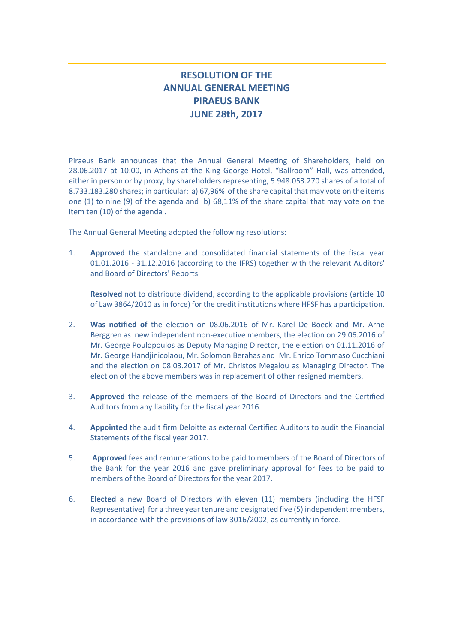## **RESOLUTION OF THE ANNUAL GENERAL MEETING PIRAEUS BANK JUNE 28th, 2017**

Piraeus Bank announces that the Annual General Meeting of Shareholders, held on 28.06.2017 at 10:00, in Athens at the King George Hotel, "Ballroom" Hall, was attended, either in person or by proxy, by shareholders representing, 5.948.053.270 shares of a total of 8.733.183.280 shares; in particular: a) 67,96% of the share capital that may vote on the items one (1) to nine (9) of the agenda and b) 68,11% of the share capital that may vote on the item ten (10) of the agenda .

The Annual General Meeting adopted the following resolutions:

1. **Approved** the standalone and consolidated financial statements of the fiscal year 01.01.2016 - 31.12.2016 (according to the IFRS) together with the relevant Auditors' and Board of Directors' Reports

**Resolved** not to distribute dividend, according to the applicable provisions (article 10 of Law 3864/2010 as in force) for the credit institutions where HFSF has a participation.

- 2. **Was notified of** the election on 08.06.2016 of Mr. Karel De Boeck and Mr. Arne Berggren as new independent non-executive members, the election on 29.06.2016 of Mr. George Poulopoulos as Deputy Managing Director, the election on 01.11.2016 of Mr. George Handjinicolaou, Mr. Solomon Berahas and Mr. Enrico Tommaso Cucchiani and the election on 08.03.2017 of Mr. Christos Megalou as Managing Director. The election of the above members was in replacement of other resigned members.
- 3. **Approved** the release of the members of the Board of Directors and the Certified Auditors from any liability for the fiscal year 2016.
- 4. **Appointed** the audit firm Deloitte as external Certified Auditors to audit the Financial Statements of the fiscal year 2017.
- 5. **Approved** fees and remunerations to be paid to members of the Board of Directors of the Bank for the year 2016 and gave preliminary approval for fees to be paid to members of the Board of Directors for the year 2017.
- 6. **Elected** a new Board of Directors with eleven (11) members (including the HFSF Representative) for a three year tenure and designated five (5) independent members, in accordance with the provisions of law 3016/2002, as currently in force.